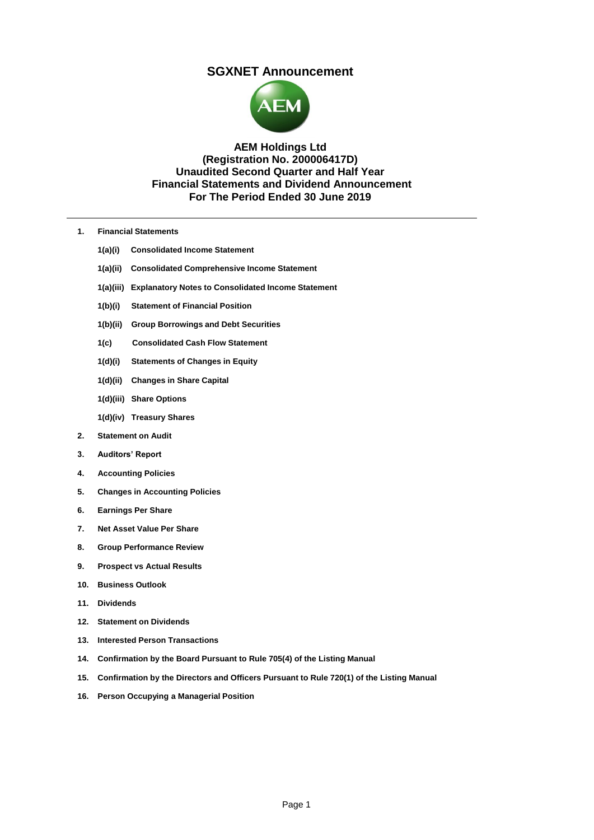# **SGXNET Announcement**



### **AEM Holdings Ltd (Registration No. 200006417D) Unaudited Second Quarter and Half Year Financial Statements and Dividend Announcement For The Period Ended 30 June 2019**

- **1. Financial Statements**
	- **1(a)(i) Consolidated Income Statement**
	- **1(a)(ii) Consolidated Comprehensive Income Statement**
	- **1(a)(iii) Explanatory Notes to Consolidated Income Statement**
	- **1(b)(i) Statement of Financial Position**
	- **1(b)(ii) Group Borrowings and Debt Securities**
	- **1(c) Consolidated Cash Flow Statement**
	- **1(d)(i) Statements of Changes in Equity**
	- **1(d)(ii) Changes in Share Capital**
	- **1(d)(iii) Share Options**
	- **1(d)(iv) Treasury Shares**
- **2. Statement on Audit**
- **3. Auditors' Report**
- **4. Accounting Policies**
- **5. Changes in Accounting Policies**
- **6. Earnings Per Share**
- **7. Net Asset Value Per Share**
- **8. Group Performance Review**
- **9. Prospect vs Actual Results**
- **10. Business Outlook**
- **11. Dividends**
- **12. Statement on Dividends**
- **13. Interested Person Transactions**
- **14. Confirmation by the Board Pursuant to Rule 705(4) of the Listing Manual**
- **15. Confirmation by the Directors and Officers Pursuant to Rule 720(1) of the Listing Manual**
- **16. Person Occupying a Managerial Position**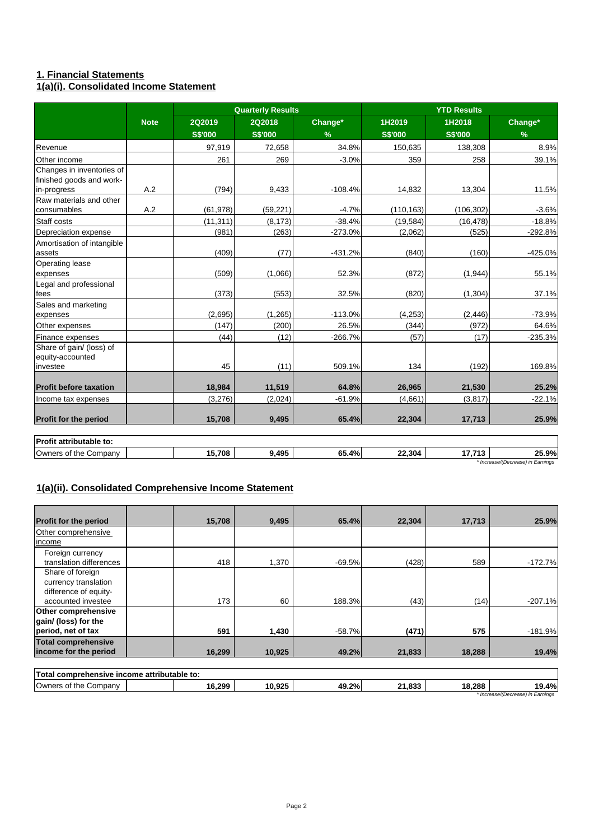### **1(a)(i). Consolidated Income Statement 1. Financial Statements**

|                                                       |             |                | <b>Quarterly Results</b> |               | <b>YTD Results</b> |                |                                            |  |
|-------------------------------------------------------|-------------|----------------|--------------------------|---------------|--------------------|----------------|--------------------------------------------|--|
|                                                       | <b>Note</b> | <b>2Q2019</b>  | 2Q2018                   | Change*       | 1H2019             | 1H2018         | Change*                                    |  |
|                                                       |             | <b>S\$'000</b> | <b>S\$'000</b>           | $\frac{9}{6}$ | <b>S\$'000</b>     | <b>S\$'000</b> | $\frac{9}{6}$                              |  |
| Revenue                                               |             | 97.919         | 72.658                   | 34.8%         | 150.635            | 138.308        | 8.9%                                       |  |
| Other income                                          |             | 261            | 269                      | $-3.0%$       | 359                | 258            | 39.1%                                      |  |
| Changes in inventories of<br>finished goods and work- |             |                |                          |               |                    |                |                                            |  |
| in-progress                                           | A.2         | (794)          | 9,433                    | $-108.4%$     | 14,832             | 13,304         | 11.5%                                      |  |
| Raw materials and other<br>consumables                | A.2         | (61, 978)      | (59, 221)                | $-4.7%$       | (110, 163)         | (106, 302)     | $-3.6%$                                    |  |
| Staff costs                                           |             | (11, 311)      | (8, 173)                 | $-38.4%$      | (19, 584)          | (16, 478)      | $-18.8%$                                   |  |
| Depreciation expense                                  |             | (981)          | (263)                    | $-273.0%$     | (2,062)            | (525)          | -292.8%                                    |  |
| Amortisation of intangible<br>assets                  |             | (409)          | (77)                     | $-431.2%$     | (840)              | (160)          | $-425.0%$                                  |  |
| Operating lease<br>expenses                           |             | (509)          | (1,066)                  | 52.3%         | (872)              | (1,944)        | 55.1%                                      |  |
| Legal and professional<br>fees                        |             | (373)          | (553)                    | 32.5%         | (820)              | (1, 304)       | 37.1%                                      |  |
| Sales and marketing<br>expenses                       |             | (2,695)        | (1,265)                  | $-113.0%$     | (4, 253)           | (2, 446)       | $-73.9%$                                   |  |
| Other expenses                                        |             | (147)          | (200)                    | 26.5%         | (344)              | (972)          | 64.6%                                      |  |
| Finance expenses                                      |             | (44)           | (12)                     | $-266.7%$     | (57)               | (17)           | $-235.3%$                                  |  |
| Share of gain/ (loss) of<br>equity-accounted          |             |                |                          |               |                    |                |                                            |  |
| investee                                              |             | 45             | (11)                     | 509.1%        | 134                | (192)          | 169.8%                                     |  |
| <b>Profit before taxation</b>                         |             | 18,984         | 11,519                   | 64.8%         | 26,965             | 21,530         | 25.2%                                      |  |
| Income tax expenses                                   |             | (3,276)        | (2,024)                  | $-61.9%$      | (4,661)            | (3,817)        | $-22.1%$                                   |  |
| <b>Profit for the period</b>                          |             | 15,708         | 9,495                    | 65.4%         | 22,304             | 17,713         | 25.9%                                      |  |
| Profit attributable to:                               |             |                |                          |               |                    |                |                                            |  |
| Owners of the Company                                 |             | 15,708         | 9,495                    | 65.4%         | 22,304             | 17,713         | 25.9%<br>* Increase/(Decrease) in Earnings |  |

## **1(a)(ii). Consolidated Comprehensive Income Statement**

|                              | 15.708 | 9.495  | 65.4%    | 22.304 | 17.713 | 25.9%     |
|------------------------------|--------|--------|----------|--------|--------|-----------|
| <b>Profit for the period</b> |        |        |          |        |        |           |
| Other comprehensive          |        |        |          |        |        |           |
| income                       |        |        |          |        |        |           |
| Foreign currency             |        |        |          |        |        |           |
| translation differences      | 418    | 1,370  | $-69.5%$ | (428)  | 589    | $-172.7%$ |
| Share of foreign             |        |        |          |        |        |           |
| currency translation         |        |        |          |        |        |           |
| difference of equity-        |        |        |          |        |        |           |
| accounted investee           | 173    | 60     | 188.3%   | (43)   | (14)   | $-207.1%$ |
| <b>Other comprehensive</b>   |        |        |          |        |        |           |
| gain/ (loss) for the         |        |        |          |        |        |           |
| period, net of tax           | 591    | 1,430  | $-58.7%$ | (471)  | 575    | $-181.9%$ |
| <b>Total comprehensive</b>   |        |        |          |        |        |           |
| income for the period        | 16,299 | 10,925 | 49.2%    | 21,833 | 18,288 | 19.4%     |
|                              |        |        |          |        |        |           |

| Total<br>I comprehensive income attributable to: |        |        |       |                   |        |                                   |
|--------------------------------------------------|--------|--------|-------|-------------------|--------|-----------------------------------|
| Owners of the C<br>. Company                     | 16.299 | 10.925 | 49.2% | ooo<br>ິ<br>ניט.ו | 18.288 | 19.4%                             |
|                                                  |        |        |       |                   |        | * Increase/(Decrease) in Earnings |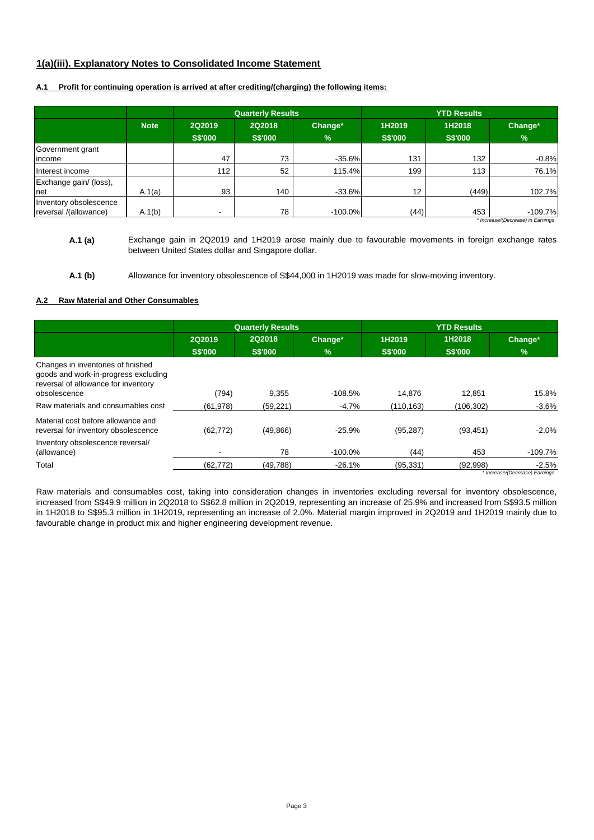### **1(a)(iii). Explanatory Notes to Consolidated Income Statement**

|                        |             | <b>Quarterly Results</b> |                |               | <b>YTD Results</b> |                |               |
|------------------------|-------------|--------------------------|----------------|---------------|--------------------|----------------|---------------|
|                        | <b>Note</b> | 2Q2019                   | <b>2Q2018</b>  | Change*       | 1H2019             | 1H2018         | Change*       |
|                        |             | <b>S\$'000</b>           | <b>S\$'000</b> | $\frac{9}{6}$ | <b>S\$'000</b>     | <b>S\$'000</b> | $\frac{9}{6}$ |
| Government grant       |             |                          |                |               |                    |                |               |
| income                 |             | 47                       | 73             | $-35.6%$      | 131                | 132            | $-0.8%$       |
| Interest income        |             | 112                      | 52             | 115.4%        | 199                | 113            | 76.1%         |
| Exchange gain/ (loss), |             |                          |                |               |                    |                |               |
| net                    | A.1(a)      | 93                       | 140            | $-33.6%$      | $12 \overline{ }$  | (449)          | 102.7%        |
| Inventory obsolescence |             |                          |                |               |                    |                |               |
| reversal /(allowance)  | A.1(b)      |                          | 78             | $-100.0\%$    | (44)               | 453            | $-109.7%$     |

### **A.1 Profit for continuing operation is arrived at after crediting/(charging) the following items:**

**A.1 (a)**  Exchange gain in 2Q2019 and 1H2019 arose mainly due to favourable movements in foreign exchange rates between United States dollar and Singapore dollar.

**A.1 (b)** Allowance for inventory obsolescence of S\$44,000 in 1H2019 was made for slow-moving inventory.

### **A.2 Raw Material and Other Consumables**

|                                                                                                                                   | <b>Quarterly Results</b> |                |               | <b>YTD Results</b> |                |                                |  |
|-----------------------------------------------------------------------------------------------------------------------------------|--------------------------|----------------|---------------|--------------------|----------------|--------------------------------|--|
|                                                                                                                                   | 2Q2019                   | 2Q2018         | Change*       | 1H2019             | 1H2018         | Change*                        |  |
|                                                                                                                                   | <b>S\$'000</b>           | <b>S\$'000</b> | $\frac{1}{2}$ | <b>S\$'000</b>     | <b>S\$'000</b> | $\%$                           |  |
| Changes in inventories of finished<br>goods and work-in-progress excluding<br>reversal of allowance for inventory<br>obsolescence | (794)                    | 9.355          | $-108.5\%$    | 14.876             | 12.851         | 15.8%                          |  |
|                                                                                                                                   |                          |                |               |                    |                |                                |  |
| Raw materials and consumables cost                                                                                                | (61, 978)                | (59, 221)      | -4.7%         | (110, 163)         | (106, 302)     | $-3.6%$                        |  |
| Material cost before allowance and<br>reversal for inventory obsolescence                                                         | (62, 772)                | (49, 866)      | $-25.9%$      | (95, 287)          | (93, 451)      | $-2.0%$                        |  |
| Inventory obsolescence reversal/<br>(allowance)                                                                                   | $\overline{\phantom{a}}$ | 78             | $-100.0\%$    | (44)               | 453            | $-109.7\%$                     |  |
| Total                                                                                                                             | (62, 772)                | (49, 788)      | $-26.1%$      | (95, 331)          | (92,998)       | $-2.5%$                        |  |
|                                                                                                                                   |                          |                |               |                    |                | * Increase/(Decrease) Earnings |  |

Raw materials and consumables cost, taking into consideration changes in inventories excluding reversal for inventory obsolescence, increased from S\$49.9 million in 2Q2018 to S\$62.8 million in 2Q2019, representing an increase of 25.9% and increased from S\$93.5 million in 1H2018 to S\$95.3 million in 1H2019, representing an increase of 2.0%. Material margin improved in 2Q2019 and 1H2019 mainly due to favourable change in product mix and higher engineering development revenue.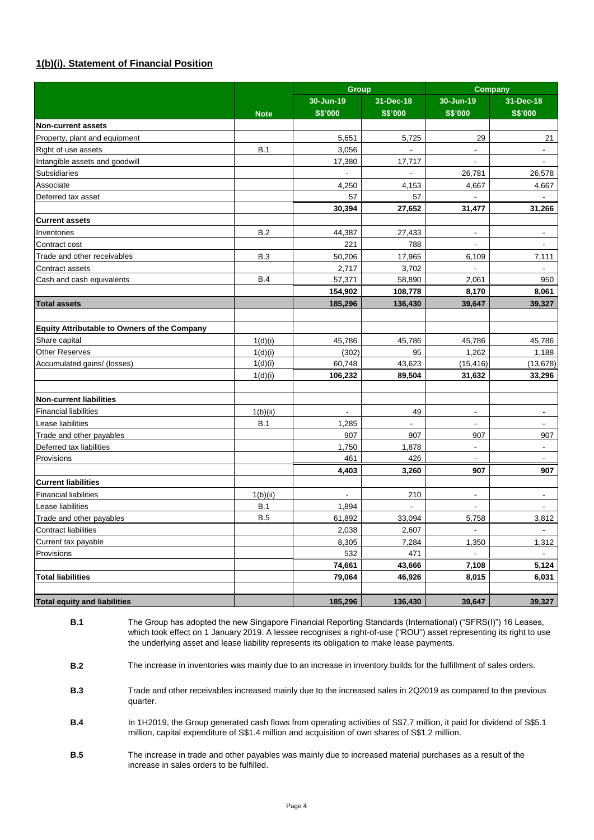## **1(b)(i). Statement of Financial Position**

|                                                     |             | Group                    |                          | <b>Company</b>           |                          |
|-----------------------------------------------------|-------------|--------------------------|--------------------------|--------------------------|--------------------------|
|                                                     |             | 30-Jun-19                | 31-Dec-18                | 30-Jun-19                | 31-Dec-18                |
|                                                     | <b>Note</b> | <b>S\$'000</b>           | <b>S\$'000</b>           | <b>S\$'000</b>           | <b>S\$'000</b>           |
| <b>Non-current assets</b>                           |             |                          |                          |                          |                          |
| Property, plant and equipment                       |             | 5,651                    | 5,725                    | 29                       | 21                       |
| Right of use assets                                 | <b>B.1</b>  | 3,056                    |                          |                          |                          |
| Intangible assets and goodwill                      |             | 17,380                   | 17,717                   | $\overline{\phantom{a}}$ | $\blacksquare$           |
| Subsidiaries                                        |             |                          |                          | 26,781                   | 26,578                   |
| Associate                                           |             | 4,250                    | 4,153                    | 4,667                    | 4,667                    |
| Deferred tax asset                                  |             | 57                       | 57                       |                          |                          |
|                                                     |             | 30,394                   | 27,652                   | 31,477                   | 31,266                   |
| <b>Current assets</b>                               |             |                          |                          |                          |                          |
| Inventories                                         | B.2         | 44,387                   | 27,433                   | $\blacksquare$           | $\blacksquare$           |
| Contract cost                                       |             | 221                      | 788                      | $\blacksquare$           | $\overline{\phantom{a}}$ |
| Trade and other receivables                         | <b>B.3</b>  | 50,206                   | 17,965                   | 6,109                    | 7,111                    |
| Contract assets                                     |             | 2,717                    | 3,702                    |                          |                          |
| Cash and cash equivalents                           | <b>B.4</b>  | 57,371                   | 58,890                   | 2,061                    | 950                      |
|                                                     |             | 154,902                  | 108,778                  | 8,170                    | 8,061                    |
| <b>Total assets</b>                                 |             | 185,296                  | 136,430                  | 39,647                   | 39,327                   |
|                                                     |             |                          |                          |                          |                          |
| <b>Equity Attributable to Owners of the Company</b> |             |                          |                          |                          |                          |
| Share capital                                       | 1(d)(i)     | 45,786                   | 45,786                   | 45,786                   | 45,786                   |
| <b>Other Reserves</b>                               | 1(d)(i)     | (302)                    | 95                       | 1,262                    | 1,188                    |
| Accumulated gains/ (losses)                         | 1(d)(i)     | 60,748                   | 43,623                   | (15, 416)                | (13, 678)                |
|                                                     | 1(d)(i)     | 106,232                  | 89,504                   | 31,632                   | 33,296                   |
|                                                     |             |                          |                          |                          |                          |
| <b>Non-current liabilities</b>                      |             |                          |                          |                          |                          |
| <b>Financial liabilities</b>                        | 1(b)(ii)    | $\blacksquare$           | 49                       | $\overline{\phantom{a}}$ | $\overline{\phantom{a}}$ |
| Lease liabilities                                   | B.1         | 1,285                    | $\overline{\phantom{a}}$ | $\overline{\phantom{a}}$ | $\overline{\phantom{a}}$ |
| Trade and other payables                            |             | 907                      | 907                      | 907                      | 907                      |
| Deferred tax liabilities                            |             | 1,750                    | 1,878                    |                          | $\overline{\phantom{a}}$ |
| Provisions                                          |             | 461                      | 426                      | $\overline{\phantom{a}}$ | $\blacksquare$           |
|                                                     |             | 4,403                    | 3,260                    | 907                      | 907                      |
| <b>Current liabilities</b>                          |             |                          |                          |                          |                          |
| <b>Financial liabilities</b>                        | 1(b)(ii)    | $\overline{\phantom{a}}$ | 210                      | $\overline{\phantom{a}}$ | $\overline{\phantom{a}}$ |
| Lease liabilities                                   | B.1         | 1,894                    |                          |                          |                          |
| Trade and other payables                            | <b>B.5</b>  | 61,892                   | 33,094                   | 5,758                    | 3,812                    |
| Contract liabilities                                |             | 2,038                    | 2,607                    | $\blacksquare$           | $\blacksquare$           |
| Current tax payable                                 |             | 8,305                    | 7,284                    | 1,350                    | 1,312                    |
| Provisions                                          |             | 532                      | 471                      | $\overline{\phantom{a}}$ | $\overline{\phantom{a}}$ |
|                                                     |             | 74,661                   | 43,666                   | 7,108                    | 5,124                    |
| <b>Total liabilities</b>                            |             | 79,064                   | 46,926                   | 8,015                    | 6,031                    |
|                                                     |             |                          |                          |                          |                          |
| <b>Total equity and liabilities</b>                 |             | 185,296                  | 136,430                  | 39,647                   | 39,327                   |

| <b>B.1</b> | The Group has adopted the new Singapore Financial Reporting Standards (International) ("SFRS(I)") 16 Leases,        |
|------------|---------------------------------------------------------------------------------------------------------------------|
|            | which took effect on 1 January 2019. A lessee recognises a right-of-use ("ROU") asset representing its right to use |
|            | the underlying asset and lease liability represents its obligation to make lease payments.                          |

**B.2** The increase in inventories was mainly due to an increase in inventory builds for the fulfillment of sales orders.

- **B.3** Trade and other receivables increased mainly due to the increased sales in 2Q2019 as compared to the previous quarter.
- **B.4** In 1H2019, the Group generated cash flows from operating activities of S\$7.7 million, it paid for dividend of S\$5.1 million, capital expenditure of S\$1.4 million and acquisition of own shares of S\$1.2 million.
- **B.5** The increase in trade and other payables was mainly due to increased material purchases as a result of the increase in sales orders to be fulfilled.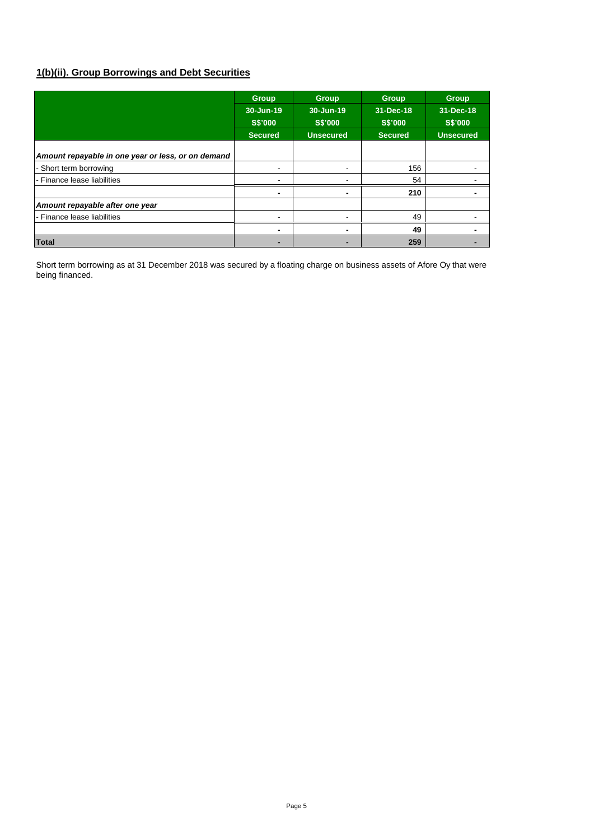# **1(b)(ii). Group Borrowings and Debt Securities**

|                                                    | <b>Group</b><br>30-Jun-19<br><b>S\$'000</b><br><b>Secured</b> | <b>Group</b><br>30-Jun-19<br><b>S\$'000</b><br><b>Unsecured</b> | <b>Group</b><br>31-Dec-18<br><b>S\$'000</b><br><b>Secured</b> | <b>Group</b><br>31-Dec-18<br><b>S\$'000</b><br><b>Unsecured</b> |
|----------------------------------------------------|---------------------------------------------------------------|-----------------------------------------------------------------|---------------------------------------------------------------|-----------------------------------------------------------------|
| Amount repayable in one year or less, or on demand |                                                               |                                                                 |                                                               |                                                                 |
| - Short term borrowing                             | ٠                                                             | $\overline{\phantom{0}}$                                        | 156                                                           |                                                                 |
| - Finance lease liabilities                        |                                                               |                                                                 | 54                                                            |                                                                 |
|                                                    | $\overline{\phantom{0}}$                                      | $\overline{\phantom{0}}$                                        | 210                                                           |                                                                 |
| Amount repayable after one year                    |                                                               |                                                                 |                                                               |                                                                 |
| - Finance lease liabilities                        | -                                                             | -                                                               | 49                                                            |                                                                 |
|                                                    | $\overline{\phantom{0}}$                                      | $\blacksquare$                                                  | 49                                                            |                                                                 |
| <b>Total</b>                                       | -                                                             | -                                                               | 259                                                           |                                                                 |

Short term borrowing as at 31 December 2018 was secured by a floating charge on business assets of Afore Oy that were being financed.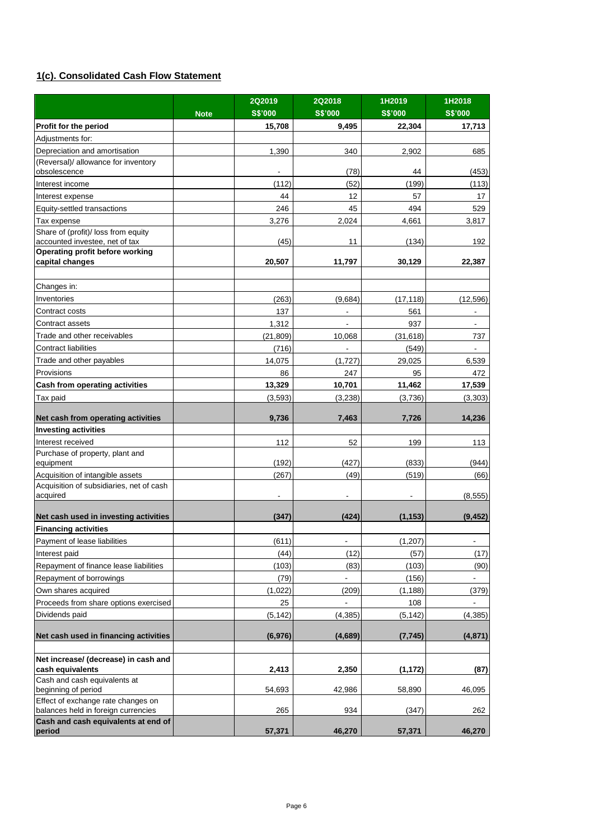# **1(c). Consolidated Cash Flow Statement**

|                                                                           |             | 2Q2019                   | 2Q2018                   | 1H2019                   | 1H2018         |
|---------------------------------------------------------------------------|-------------|--------------------------|--------------------------|--------------------------|----------------|
|                                                                           | <b>Note</b> | <b>S\$'000</b>           | <b>S\$'000</b>           | <b>S\$'000</b>           | S\$'000        |
| Profit for the period                                                     |             | 15,708                   | 9,495                    | 22,304                   | 17,713         |
| Adjustments for:                                                          |             |                          |                          |                          |                |
| Depreciation and amortisation                                             |             | 1,390                    | 340                      | 2,902                    | 685            |
| (Reversal)/ allowance for inventory<br>obsolescence                       |             | $\overline{\phantom{a}}$ | (78)                     | 44                       | (453)          |
| Interest income                                                           |             | (112)                    | (52)                     | (199)                    | (113)          |
| Interest expense                                                          |             | 44                       | 12                       | 57                       | 17             |
| Equity-settled transactions                                               |             | 246                      | 45                       | 494                      | 529            |
| Tax expense                                                               |             | 3,276                    | 2,024                    | 4,661                    | 3,817          |
| Share of (profit)/ loss from equity<br>accounted investee, net of tax     |             | (45)                     | 11                       | (134)                    | 192            |
| Operating profit before working<br>capital changes                        |             | 20,507                   | 11,797                   | 30,129                   | 22,387         |
|                                                                           |             |                          |                          |                          |                |
| Changes in:                                                               |             |                          |                          |                          |                |
| Inventories                                                               |             | (263)                    | (9,684)                  | (17, 118)                | (12, 596)      |
| Contract costs                                                            |             | 137                      | $\overline{\phantom{a}}$ | 561                      | $\blacksquare$ |
| Contract assets                                                           |             | 1,312                    |                          | 937                      | $\blacksquare$ |
| Trade and other receivables                                               |             | (21, 809)                | 10,068                   | (31, 618)                | 737            |
| <b>Contract liabilities</b>                                               |             | (716)                    |                          | (549)                    |                |
| Trade and other payables                                                  |             | 14,075                   | (1,727)                  | 29,025                   | 6,539          |
| Provisions<br><b>Cash from operating activities</b>                       |             | 86<br>13,329             | 247<br>10,701            | 95<br>11,462             | 472<br>17,539  |
| Tax paid                                                                  |             |                          |                          |                          |                |
|                                                                           |             | (3,593)                  | (3,238)                  | (3,736)                  | (3,303)        |
| Net cash from operating activities                                        |             | 9,736                    | 7,463                    | 7,726                    | 14,236         |
| <b>Investing activities</b>                                               |             |                          |                          |                          |                |
| Interest received                                                         |             | 112                      | 52                       | 199                      | 113            |
| Purchase of property, plant and<br>equipment                              |             | (192)                    | (427)                    | (833)                    | (944)          |
| Acquisition of intangible assets                                          |             | (267)                    | (49)                     | (519)                    | (66)           |
| Acquisition of subsidiaries, net of cash<br>acquired                      |             | $\overline{\phantom{a}}$ | $\overline{\phantom{a}}$ | $\overline{\phantom{a}}$ | (8,555)        |
| Net cash used in investing activities                                     |             | (347)                    | (424)                    | (1, 153)                 | (9, 452)       |
| <b>Financing activities</b>                                               |             |                          |                          |                          |                |
| Payment of lease liabilities                                              |             | (611)                    |                          | (1, 207)                 |                |
| Interest paid                                                             |             | (44)                     | (12)                     | (57)                     | (17)           |
| Repayment of finance lease liabilities                                    |             | (103)                    | (83)                     | (103)                    | (90)           |
| Repayment of borrowings                                                   |             | (79)                     |                          | (156)                    |                |
| Own shares acquired                                                       |             | (1,022)                  | (209)                    | (1, 188)                 | (379)          |
| Proceeds from share options exercised                                     |             | 25                       |                          | 108                      | -              |
| Dividends paid                                                            |             | (5, 142)                 | (4, 385)                 | (5, 142)                 | (4, 385)       |
| Net cash used in financing activities                                     |             | (6, 976)                 | (4,689)                  | (7, 745)                 | (4,871)        |
|                                                                           |             |                          |                          |                          |                |
| Net increase/ (decrease) in cash and<br>cash equivalents                  |             | 2,413                    | 2,350                    | (1, 172)                 | (87)           |
| Cash and cash equivalents at<br>beginning of period                       |             | 54,693                   | 42,986                   | 58,890                   | 46,095         |
| Effect of exchange rate changes on<br>balances held in foreign currencies |             | 265                      | 934                      | (347)                    | 262            |
| Cash and cash equivalents at end of                                       |             |                          |                          |                          |                |
| period                                                                    |             | 57,371                   | 46,270                   | 57,371                   | 46,270         |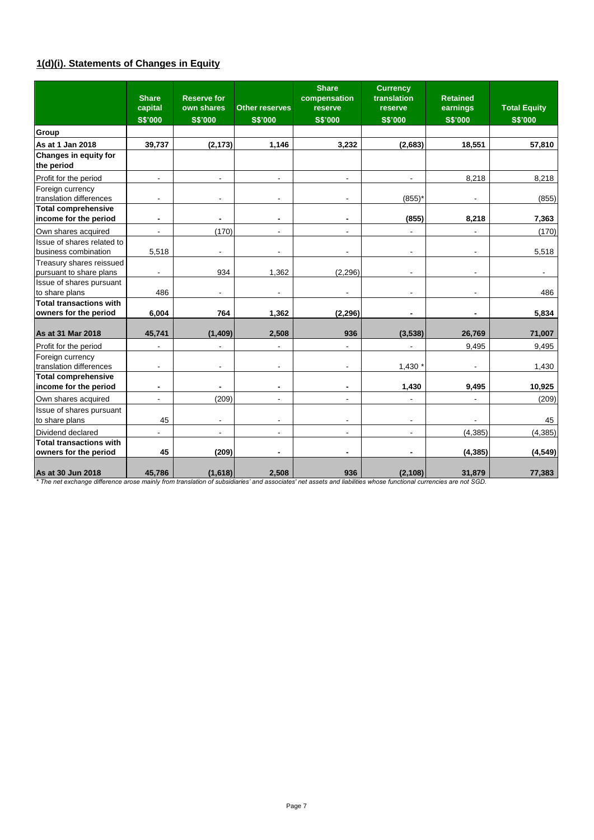## **1(d)(i). Statements of Changes in Equity**

|                                                                                                                                                                                       | <b>Share</b><br>capital<br><b>S\$'000</b> | <b>Reserve for</b><br>own shares<br><b>S\$'000</b> | <b>Other reserves</b><br>S\$'000 | <b>Share</b><br>compensation<br>reserve<br><b>S\$'000</b> | <b>Currency</b><br>translation<br>reserve<br><b>S\$'000</b> | <b>Retained</b><br>earnings<br><b>S\$'000</b> | <b>Total Equity</b><br><b>S\$'000</b> |
|---------------------------------------------------------------------------------------------------------------------------------------------------------------------------------------|-------------------------------------------|----------------------------------------------------|----------------------------------|-----------------------------------------------------------|-------------------------------------------------------------|-----------------------------------------------|---------------------------------------|
| Group                                                                                                                                                                                 |                                           |                                                    |                                  |                                                           |                                                             |                                               |                                       |
| As at 1 Jan 2018                                                                                                                                                                      | 39,737                                    | (2, 173)                                           | 1,146                            | 3,232                                                     | (2,683)                                                     | 18,551                                        | 57,810                                |
| Changes in equity for<br>the period                                                                                                                                                   |                                           |                                                    |                                  |                                                           |                                                             |                                               |                                       |
| Profit for the period                                                                                                                                                                 |                                           |                                                    |                                  |                                                           | $\overline{\phantom{a}}$                                    | 8,218                                         | 8,218                                 |
| Foreign currency<br>translation differences                                                                                                                                           |                                           |                                                    |                                  |                                                           | (855)                                                       |                                               | (855)                                 |
| <b>Total comprehensive</b>                                                                                                                                                            |                                           |                                                    |                                  |                                                           |                                                             |                                               |                                       |
| income for the period                                                                                                                                                                 | $\blacksquare$                            |                                                    |                                  |                                                           | (855)                                                       | 8,218                                         | 7,363                                 |
| Own shares acquired                                                                                                                                                                   | $\blacksquare$                            | (170)                                              | $\overline{a}$                   | $\overline{a}$                                            | $\qquad \qquad \blacksquare$                                |                                               | (170)                                 |
| Issue of shares related to                                                                                                                                                            |                                           |                                                    |                                  |                                                           |                                                             |                                               |                                       |
| business combination                                                                                                                                                                  | 5,518                                     |                                                    |                                  |                                                           | $\overline{\phantom{0}}$                                    |                                               | 5,518                                 |
| Treasury shares reissued                                                                                                                                                              |                                           |                                                    |                                  |                                                           |                                                             |                                               |                                       |
| pursuant to share plans<br>Issue of shares pursuant                                                                                                                                   | $\blacksquare$                            | 934                                                | 1,362                            | (2, 296)                                                  | $\blacksquare$                                              |                                               | $\blacksquare$                        |
| to share plans                                                                                                                                                                        | 486                                       |                                                    |                                  |                                                           | $\blacksquare$                                              |                                               | 486                                   |
| <b>Total transactions with</b>                                                                                                                                                        |                                           |                                                    |                                  |                                                           |                                                             |                                               |                                       |
| owners for the period                                                                                                                                                                 | 6,004                                     | 764                                                | 1,362                            | (2, 296)                                                  | $\blacksquare$                                              |                                               | 5,834                                 |
| As at 31 Mar 2018                                                                                                                                                                     | 45,741                                    | (1, 409)                                           | 2,508                            | 936                                                       | (3,538)                                                     | 26,769                                        | 71,007                                |
| Profit for the period                                                                                                                                                                 |                                           |                                                    |                                  |                                                           |                                                             | 9,495                                         | 9,495                                 |
| Foreign currency<br>translation differences                                                                                                                                           |                                           |                                                    |                                  |                                                           | 1,430                                                       |                                               | 1,430                                 |
| <b>Total comprehensive</b><br>income for the period                                                                                                                                   | $\blacksquare$                            | -                                                  | $\blacksquare$                   | $\blacksquare$                                            | 1,430                                                       | 9,495                                         | 10,925                                |
| Own shares acquired                                                                                                                                                                   |                                           | (209)                                              |                                  |                                                           |                                                             |                                               | (209)                                 |
| Issue of shares pursuant                                                                                                                                                              |                                           |                                                    |                                  |                                                           |                                                             |                                               |                                       |
| to share plans                                                                                                                                                                        | 45                                        | $\overline{\phantom{a}}$                           | $\overline{a}$                   | $\blacksquare$                                            | $\overline{\phantom{a}}$                                    |                                               | 45                                    |
| Dividend declared                                                                                                                                                                     |                                           |                                                    |                                  |                                                           |                                                             | (4, 385)                                      | (4, 385)                              |
| <b>Total transactions with</b>                                                                                                                                                        |                                           |                                                    |                                  |                                                           |                                                             |                                               |                                       |
| owners for the period                                                                                                                                                                 | 45                                        | (209)                                              |                                  |                                                           |                                                             | (4, 385)                                      | (4, 549)                              |
| As at 30 Jun 2018<br>* The net exchange difference arose mainly from translation of subsidiaries' and associates' net assets and liabilities whose functional currencies are not SGD. | 45,786                                    | (1,618)                                            | 2,508                            | 936                                                       | (2, 108)                                                    | 31,879                                        | 77,383                                |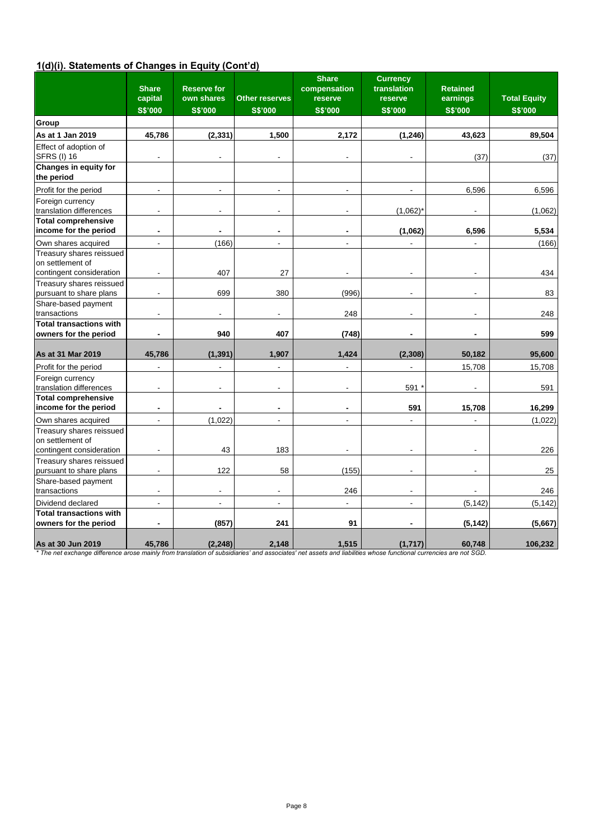# **1(d)(i). Statements of Changes in Equity (Cont'd)**

|                                                                          | <b>Share</b>              | <b>Reserve for</b>           |                                         | <b>Share</b><br>compensation | <b>Currency</b><br>translation | <b>Retained</b>            |                                       |
|--------------------------------------------------------------------------|---------------------------|------------------------------|-----------------------------------------|------------------------------|--------------------------------|----------------------------|---------------------------------------|
|                                                                          | capital<br><b>S\$'000</b> | own shares<br><b>S\$'000</b> | <b>Other reserves</b><br><b>S\$'000</b> | reserve<br>S\$'000           | reserve<br><b>S\$'000</b>      | earnings<br><b>S\$'000</b> | <b>Total Equity</b><br><b>S\$'000</b> |
| Group                                                                    |                           |                              |                                         |                              |                                |                            |                                       |
| As at 1 Jan 2019                                                         | 45,786                    | (2, 331)                     | 1,500                                   | 2,172                        | (1, 246)                       | 43,623                     | 89,504                                |
| Effect of adoption of                                                    |                           |                              |                                         |                              |                                |                            |                                       |
| <b>SFRS (I) 16</b>                                                       |                           |                              |                                         |                              |                                | (37)                       | (37)                                  |
| Changes in equity for<br>the period                                      |                           |                              |                                         |                              |                                |                            |                                       |
| Profit for the period                                                    | $\blacksquare$            | $\blacksquare$               |                                         |                              | $\blacksquare$                 | 6,596                      | 6,596                                 |
| Foreign currency<br>translation differences                              | $\blacksquare$            | $\overline{\phantom{a}}$     |                                         |                              | $(1,062)$ <sup>*</sup>         |                            | (1,062)                               |
| <b>Total comprehensive</b><br>income for the period                      | $\blacksquare$            | $\blacksquare$               |                                         | $\blacksquare$               | (1,062)                        | 6,596                      | 5,534                                 |
| Own shares acquired                                                      | L.                        | (166)                        |                                         |                              |                                |                            | (166)                                 |
| Treasury shares reissued<br>on settlement of<br>contingent consideration | $\overline{a}$            | 407                          | 27                                      |                              |                                |                            | 434                                   |
| Treasury shares reissued                                                 |                           |                              |                                         |                              |                                |                            |                                       |
| pursuant to share plans                                                  | $\blacksquare$            | 699                          | 380                                     | (996)                        | $\overline{a}$                 |                            | 83                                    |
| Share-based payment<br>transactions                                      | $\blacksquare$            |                              |                                         | 248                          | $\overline{a}$                 |                            | 248                                   |
| <b>Total transactions with</b>                                           |                           |                              |                                         |                              |                                |                            |                                       |
| owners for the period                                                    |                           | 940                          | 407                                     | (748)                        |                                |                            | 599                                   |
| As at 31 Mar 2019                                                        | 45,786                    | (1, 391)                     | 1,907                                   | 1,424                        | (2, 308)                       | 50,182                     | 95,600                                |
| Profit for the period                                                    | $\overline{a}$            | $\overline{a}$               |                                         | $\overline{a}$               | $\overline{a}$                 | 15,708                     | 15,708                                |
| Foreign currency<br>translation differences                              | ÷,                        | $\overline{a}$               |                                         |                              | 591                            |                            | 591                                   |
| <b>Total comprehensive</b><br>income for the period                      | $\blacksquare$            |                              |                                         |                              | 591                            | 15,708                     | 16,299                                |
| Own shares acquired                                                      | ÷                         | (1,022)                      |                                         | ÷                            | $\overline{a}$                 |                            | (1,022)                               |
| Treasury shares reissued<br>on settlement of                             |                           |                              |                                         |                              |                                |                            |                                       |
| contingent consideration                                                 | $\overline{\phantom{a}}$  | 43                           | 183                                     |                              |                                |                            | 226                                   |
| Treasury shares reissued<br>pursuant to share plans                      | $\overline{\phantom{a}}$  | 122                          | 58                                      | (155)                        |                                |                            | 25                                    |
| Share-based payment<br>transactions                                      | $\overline{a}$            | $\blacksquare$               |                                         | 246                          |                                |                            | 246                                   |
| Dividend declared                                                        | L.                        | ÷,                           |                                         |                              | L.                             | (5, 142)                   | (5, 142)                              |
| <b>Total transactions with</b>                                           |                           |                              |                                         |                              |                                |                            |                                       |
| owners for the period                                                    | $\blacksquare$            | (857)                        | 241                                     | 91                           | $\blacksquare$                 | (5, 142)                   | (5,667)                               |
| As at 30 Jun 2019                                                        | 45,786                    | (2, 248)                     | 2,148                                   | 1,515                        | (1,717)                        | 60,748                     | 106,232                               |

*\* The net exchange difference arose mainly from translation of subsidiaries' and associates' net assets and liabilities whose functional currencies are not SGD.*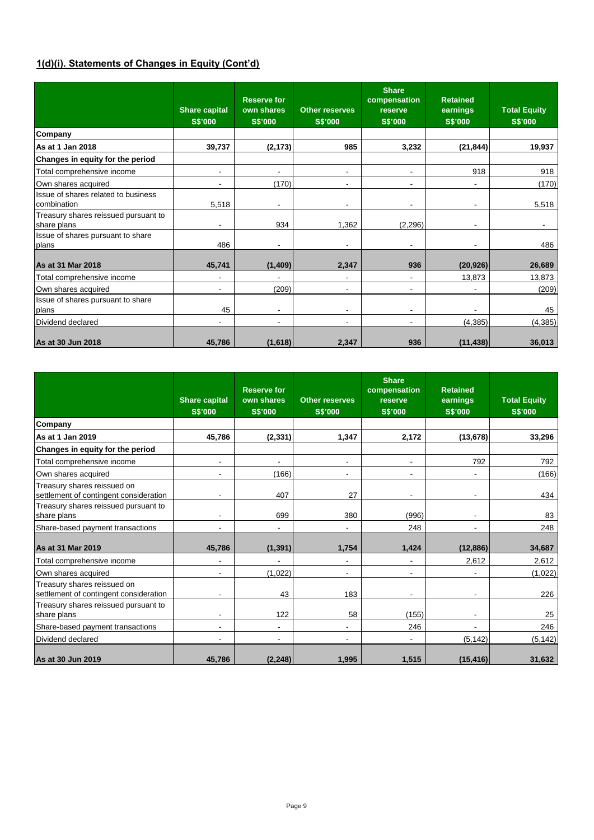## **1(d)(i). Statements of Changes in Equity (Cont'd)**

|                                                     | <b>Share capital</b><br><b>S\$'000</b> | <b>Reserve for</b><br>own shares<br><b>S\$'000</b> | <b>Other reserves</b><br><b>S\$'000</b> | <b>Share</b><br>compensation<br>reserve<br><b>S\$'000</b> | <b>Retained</b><br>earnings<br><b>S\$'000</b> | <b>Total Equity</b><br><b>S\$'000</b> |
|-----------------------------------------------------|----------------------------------------|----------------------------------------------------|-----------------------------------------|-----------------------------------------------------------|-----------------------------------------------|---------------------------------------|
| Company                                             |                                        |                                                    |                                         |                                                           |                                               |                                       |
| As at 1 Jan 2018                                    | 39,737                                 | (2, 173)                                           | 985                                     | 3,232                                                     | (21, 844)                                     | 19,937                                |
| Changes in equity for the period                    |                                        |                                                    |                                         |                                                           |                                               |                                       |
| Total comprehensive income                          | $\blacksquare$                         |                                                    | $\overline{\phantom{a}}$                | ٠                                                         | 918                                           | 918                                   |
| Own shares acquired                                 | $\blacksquare$                         | (170)                                              |                                         | ۰                                                         |                                               | (170)                                 |
| Issue of shares related to business<br>combination  | 5,518                                  |                                                    |                                         |                                                           |                                               | 5,518                                 |
| Treasury shares reissued pursuant to<br>share plans | $\overline{\phantom{a}}$               | 934                                                | 1,362                                   | (2, 296)                                                  |                                               |                                       |
| Issue of shares pursuant to share<br>plans          | 486                                    |                                                    | $\overline{\phantom{a}}$                | $\overline{\phantom{a}}$                                  |                                               | 486                                   |
| As at 31 Mar 2018                                   | 45,741                                 | (1, 409)                                           | 2,347                                   | 936                                                       | (20, 926)                                     | 26,689                                |
| Total comprehensive income                          |                                        |                                                    |                                         |                                                           | 13,873                                        | 13,873                                |
| Own shares acquired                                 | $\blacksquare$                         | (209)                                              | $\overline{\phantom{a}}$                | ۰                                                         |                                               | (209)                                 |
| Issue of shares pursuant to share<br>plans          | 45                                     |                                                    |                                         | ۰                                                         |                                               | 45                                    |
| Dividend declared                                   | $\overline{\phantom{a}}$               | $\blacksquare$                                     | $\overline{\phantom{a}}$                | ۰                                                         | (4, 385)                                      | (4,385)                               |
| As at 30 Jun 2018                                   | 45,786                                 | (1,618)                                            | 2,347                                   | 936                                                       | (11, 438)                                     | 36,013                                |

|                                                                       | <b>Share capital</b><br><b>S\$'000</b> | <b>Reserve for</b><br>own shares<br><b>S\$'000</b> | <b>Other reserves</b><br><b>S\$'000</b> | <b>Share</b><br>compensation<br>reserve<br><b>S\$'000</b> | <b>Retained</b><br>earnings<br><b>S\$'000</b> | <b>Total Equity</b><br><b>S\$'000</b> |
|-----------------------------------------------------------------------|----------------------------------------|----------------------------------------------------|-----------------------------------------|-----------------------------------------------------------|-----------------------------------------------|---------------------------------------|
| Company                                                               |                                        |                                                    |                                         |                                                           |                                               |                                       |
| As at 1 Jan 2019                                                      | 45,786                                 | (2, 331)                                           | 1,347                                   | 2,172                                                     | (13, 678)                                     | 33,296                                |
| Changes in equity for the period                                      |                                        |                                                    |                                         |                                                           |                                               |                                       |
| Total comprehensive income                                            | $\overline{\phantom{a}}$               |                                                    | $\overline{\phantom{a}}$                |                                                           | 792                                           | 792                                   |
| Own shares acquired                                                   | $\blacksquare$                         | (166)                                              | $\overline{\phantom{a}}$                |                                                           |                                               | (166)                                 |
| Treasury shares reissued on<br>settlement of contingent consideration |                                        | 407                                                | 27                                      | ۰                                                         |                                               | 434                                   |
| Treasury shares reissued pursuant to<br>share plans                   | $\blacksquare$                         | 699                                                | 380                                     | (996)                                                     |                                               | 83                                    |
| Share-based payment transactions                                      |                                        |                                                    |                                         | 248                                                       |                                               | 248                                   |
| As at 31 Mar 2019                                                     | 45,786                                 | (1, 391)                                           | 1,754                                   | 1,424                                                     | (12, 886)                                     | 34,687                                |
| Total comprehensive income                                            | $\overline{\phantom{a}}$               |                                                    | $\overline{\phantom{a}}$                | $\overline{\phantom{a}}$                                  | 2,612                                         | 2,612                                 |
| Own shares acquired                                                   | $\overline{\phantom{a}}$               | (1,022)                                            | $\overline{\phantom{a}}$                | $\overline{\phantom{0}}$                                  |                                               | (1,022)                               |
| Treasury shares reissued on<br>settlement of contingent consideration | $\blacksquare$                         | 43                                                 | 183                                     | ۰                                                         |                                               | 226                                   |
| Treasury shares reissued pursuant to<br>share plans                   |                                        | 122                                                | 58                                      | (155)                                                     |                                               | 25                                    |
| Share-based payment transactions                                      | $\blacksquare$                         | $\overline{\phantom{0}}$                           |                                         | 246                                                       |                                               | 246                                   |
| Dividend declared                                                     | $\overline{\phantom{a}}$               |                                                    | $\overline{\phantom{a}}$                | ٠                                                         | (5, 142)                                      | (5, 142)                              |
| As at 30 Jun 2019                                                     | 45,786                                 | (2, 248)                                           | 1,995                                   | 1,515                                                     | (15, 416)                                     | 31,632                                |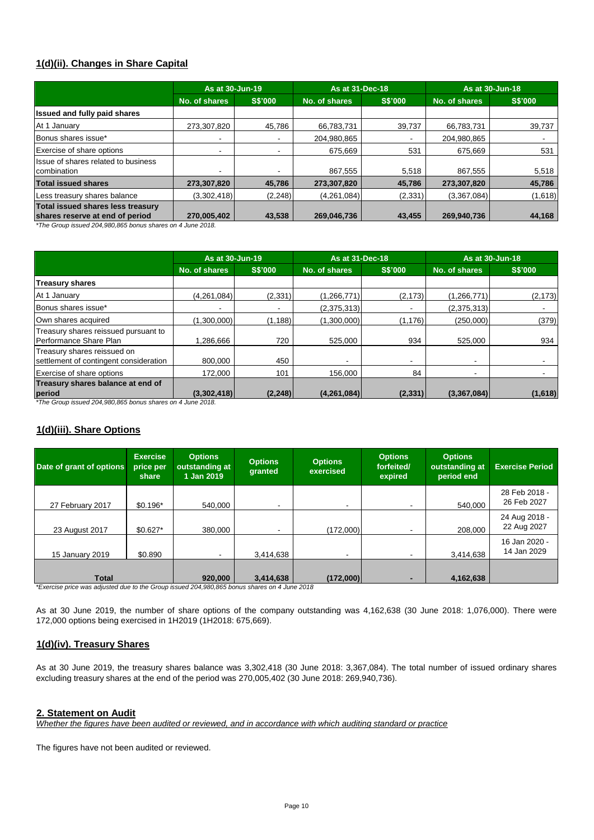## **1(d)(ii). Changes in Share Capital**

|                                                                                                                                             | As at 30-Jun-19 |                |               | As at 31-Dec-18 |               | As at 30-Jun-18 |
|---------------------------------------------------------------------------------------------------------------------------------------------|-----------------|----------------|---------------|-----------------|---------------|-----------------|
|                                                                                                                                             | No. of shares   | <b>S\$'000</b> | No. of shares | <b>S\$'000</b>  | No. of shares | <b>S\$'000</b>  |
| <b>Issued and fully paid shares</b>                                                                                                         |                 |                |               |                 |               |                 |
| At 1 Januarv                                                                                                                                | 273,307,820     | 45.786         | 66,783,731    | 39.737          | 66.783.731    | 39,737          |
| Bonus shares issue*                                                                                                                         | -               |                | 204.980.865   |                 | 204,980,865   |                 |
| <b>Exercise of share options</b>                                                                                                            | -               |                | 675,669       | 531             | 675,669       | 531             |
| Issue of shares related to business<br>combination                                                                                          | ٠               |                | 867,555       | 5,518           | 867.555       | 5,518           |
| Total issued shares                                                                                                                         | 273,307,820     | 45.786         | 273,307,820   | 45.786          | 273,307,820   | 45,786          |
| Less treasury shares balance                                                                                                                | (3,302,418)     | (2, 248)       | (4,261,084)   | (2, 331)        | (3,367,084)   | (1,618)         |
| <b>Total issued shares less treasury</b><br>shares reserve at end of period<br>$*T_{\text{tot}}$ Cusing issues 1004,000,005 hours above and | 270,005,402     | 43.538         | 269,046,736   | 43,455          | 269,940,736   | 44,168          |

*\*The Group issued 204,980,865 bonus shares on 4 June 2018.*

|                                                                       | As at 30-Jun-19          |                | As at 31-Dec-18          |                | As at 30-Jun-18 |                |
|-----------------------------------------------------------------------|--------------------------|----------------|--------------------------|----------------|-----------------|----------------|
|                                                                       | No. of shares            | <b>S\$'000</b> | No. of shares            | <b>S\$'000</b> | No. of shares   | <b>S\$'000</b> |
| <b>Treasury shares</b>                                                |                          |                |                          |                |                 |                |
| At 1 January                                                          | (4.261.084)              | (2, 331)       | (1,266,771)              | (2, 173)       | (1,266,771)     | (2, 173)       |
| Bonus shares issue*                                                   | $\overline{\phantom{0}}$ |                | (2,375,313)              |                | (2,375,313)     | ٠              |
| Own shares acquired                                                   | (1,300,000)              | (1, 188)       | (1,300,000)              | (1, 176)       | (250,000)       | (379)          |
| Treasury shares reissued pursuant to<br>Performance Share Plan        | 1.286.666                | 720            | 525.000                  | 934            | 525.000         | 934            |
| Treasury shares reissued on<br>settlement of contingent consideration | 800,000                  | 450            | $\overline{\phantom{a}}$ |                |                 |                |
| <b>Exercise of share options</b>                                      | 172,000                  | 101            | 156,000                  | 84             |                 |                |
| Treasury shares balance at end of                                     |                          |                |                          |                |                 |                |
| period                                                                | (3,302,418)              | (2, 248)       | (4, 261, 084)            | (2, 331)       | (3,367,084)     | (1,618)        |

*\*The Group issued 204,980,865 bonus shares on 4 June 2018.*

#### **1(d)(iii). Share Options**

| Date of grant of options | <b>Exercise</b><br>price per<br>share | <b>Options</b><br>outstanding at<br>1 Jan 2019 | <b>Options</b><br>granted | <b>Options</b><br>exercised | <b>Options</b><br>forfeited/<br>expired | <b>Options</b><br>outstanding at<br>period end | <b>Exercise Period</b>       |
|--------------------------|---------------------------------------|------------------------------------------------|---------------------------|-----------------------------|-----------------------------------------|------------------------------------------------|------------------------------|
| 27 February 2017         | $$0.196*$                             | 540.000                                        |                           | $\overline{\phantom{a}}$    |                                         | 540,000                                        | 28 Feb 2018 -<br>26 Feb 2027 |
| 23 August 2017           | $$0.627*$                             | 380.000                                        |                           | (172.000)                   |                                         | 208,000                                        | 24 Aug 2018 -<br>22 Aug 2027 |
| 15 January 2019          | \$0.890                               |                                                | 3,414,638                 | $\overline{\phantom{a}}$    |                                         | 3,414,638                                      | 16 Jan 2020 -<br>14 Jan 2029 |
| <b>Total</b><br>.        |                                       | 920,000                                        | 3,414,638                 | (172,000)                   |                                         | 4,162,638                                      |                              |

*\*Exercise price was adjusted due to the Group issued 204,980,865 bonus shares on 4 June 2018* 

As at 30 June 2019, the number of share options of the company outstanding was 4,162,638 (30 June 2018: 1,076,000). There were 172,000 options being exercised in 1H2019 (1H2018: 675,669).

### **1(d)(iv). Treasury Shares**

As at 30 June 2019, the treasury shares balance was 3,302,418 (30 June 2018: 3,367,084). The total number of issued ordinary shares excluding treasury shares at the end of the period was 270,005,402 (30 June 2018: 269,940,736).

#### **2. Statement on Audit**

*Whether the figures have been audited or reviewed, and in accordance with which auditing standard or practice*

The figures have not been audited or reviewed.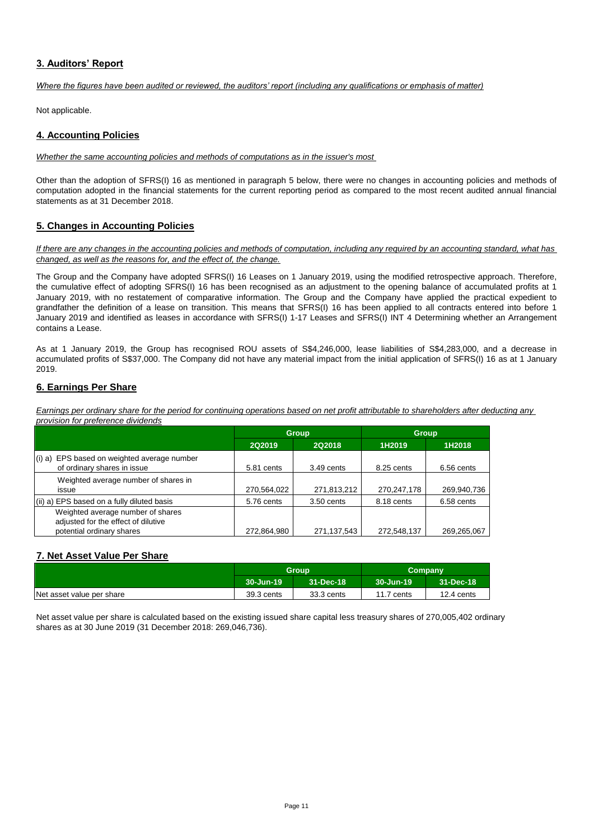### **3. Auditors' Report**

*Where the figures have been audited or reviewed, the auditors' report (including any qualifications or emphasis of matter)*

Not applicable.

### **4. Accounting Policies**

*Whether the same accounting policies and methods of computations as in the issuer's most* 

Other than the adoption of SFRS(I) 16 as mentioned in paragraph 5 below, there were no changes in accounting policies and methods of computation adopted in the financial statements for the current reporting period as compared to the most recent audited annual financial statements as at 31 December 2018.

### **5. Changes in Accounting Policies**

*If there are any changes in the accounting policies and methods of computation, including any required by an accounting standard, what has changed, as well as the reasons for, and the effect of, the change.*

The Group and the Company have adopted SFRS(I) 16 Leases on 1 January 2019, using the modified retrospective approach. Therefore, the cumulative effect of adopting SFRS(I) 16 has been recognised as an adjustment to the opening balance of accumulated profits at 1 January 2019, with no restatement of comparative information. The Group and the Company have applied the practical expedient to grandfather the definition of a lease on transition. This means that SFRS(I) 16 has been applied to all contracts entered into before 1 January 2019 and identified as leases in accordance with SFRS(I) 1-17 Leases and SFRS(I) INT 4 Determining whether an Arrangement contains a Lease.

As at 1 January 2019, the Group has recognised ROU assets of S\$4,246,000, lease liabilities of S\$4,283,000, and a decrease in accumulated profits of S\$37,000. The Company did not have any material impact from the initial application of SFRS(I) 16 as at 1 January 2019.

### **6. Earnings Per Share**

*Earnings per ordinary share for the period for continuing operations based on net profit attributable to shareholders after deducting any provision for preference dividends*

|                                                                                                       |             | <b>Group</b> | <b>Group</b> |             |
|-------------------------------------------------------------------------------------------------------|-------------|--------------|--------------|-------------|
|                                                                                                       | 2Q2019      | 2Q2018       | 1H2019       | 1H2018      |
| EPS based on weighted average number<br>$(i)$ a)<br>of ordinary shares in issue                       | 5.81 cents  | 3.49 cents   | 8.25 cents   | 6.56 cents  |
| Weighted average number of shares in<br>issue                                                         | 270,564,022 | 271,813,212  | 270,247,178  | 269,940,736 |
| (ii) a) EPS based on a fully diluted basis                                                            | 5.76 cents  | 3.50 cents   | 8.18 cents   | 6.58 cents  |
| Weighted average number of shares<br>adjusted for the effect of dilutive<br>potential ordinary shares | 272,864,980 | 271,137,543  | 272,548,137  | 269,265,067 |

### **7. Net Asset Value Per Share**

|                           |            | Group      | Company    |            |  |
|---------------------------|------------|------------|------------|------------|--|
|                           | 30-Jun-19  | 31-Dec-18  |            | 31-Dec-18  |  |
| Net asset value per share | 39.3 cents | 33.3 cents | 11.7 cents | 12.4 cents |  |

Net asset value per share is calculated based on the existing issued share capital less treasury shares of 270,005,402 ordinary shares as at 30 June 2019 (31 December 2018: 269,046,736).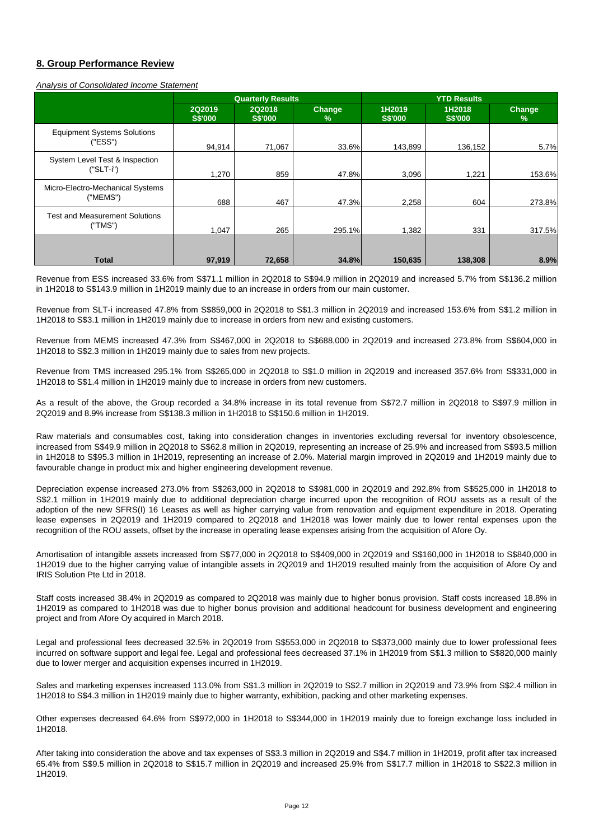### **8. Group Performance Review**

*Analysis of Consolidated Income Statement*

|                                                  | <b>Quarterly Results</b> |                          |                | <b>YTD Results</b>       |                          |                       |
|--------------------------------------------------|--------------------------|--------------------------|----------------|--------------------------|--------------------------|-----------------------|
|                                                  | 2Q2019<br><b>S\$'000</b> | 2Q2018<br><b>S\$'000</b> | Change<br>$\%$ | 1H2019<br><b>S\$'000</b> | 1H2018<br><b>S\$'000</b> | <b>Change</b><br>$\%$ |
| <b>Equipment Systems Solutions</b><br>("ESS")    | 94,914                   | 71,067                   | 33.6%          | 143,899                  | 136,152                  | 5.7%                  |
| System Level Test & Inspection<br>("SLT-i")      | 1,270                    | 859                      | 47.8%          | 3,096                    | 1,221                    | 153.6%                |
| Micro-Electro-Mechanical Systems<br>("MEMS")     | 688                      | 467                      | 47.3%          | 2,258                    | 604                      | 273.8%                |
| <b>Test and Measurement Solutions</b><br>("TMS") | 1,047                    | 265                      | 295.1%         | 1,382                    | 331                      | 317.5%                |
| Total                                            | 97,919                   | 72,658                   | 34.8%          | 150,635                  | 138.308                  | 8.9%                  |

Revenue from ESS increased 33.6% from S\$71.1 million in 2Q2018 to S\$94.9 million in 2Q2019 and increased 5.7% from S\$136.2 million in 1H2018 to S\$143.9 million in 1H2019 mainly due to an increase in orders from our main customer.

Revenue from SLT-i increased 47.8% from S\$859,000 in 2Q2018 to S\$1.3 million in 2Q2019 and increased 153.6% from S\$1.2 million in 1H2018 to S\$3.1 million in 1H2019 mainly due to increase in orders from new and existing customers.

Revenue from MEMS increased 47.3% from S\$467,000 in 2Q2018 to S\$688,000 in 2Q2019 and increased 273.8% from S\$604,000 in 1H2018 to S\$2.3 million in 1H2019 mainly due to sales from new projects.

Revenue from TMS increased 295.1% from S\$265,000 in 2Q2018 to S\$1.0 million in 2Q2019 and increased 357.6% from S\$331,000 in 1H2018 to S\$1.4 million in 1H2019 mainly due to increase in orders from new customers.

As a result of the above, the Group recorded a 34.8% increase in its total revenue from S\$72.7 million in 2Q2018 to S\$97.9 million in 2Q2019 and 8.9% increase from S\$138.3 million in 1H2018 to S\$150.6 million in 1H2019.

Raw materials and consumables cost, taking into consideration changes in inventories excluding reversal for inventory obsolescence, increased from S\$49.9 million in 2Q2018 to S\$62.8 million in 2Q2019, representing an increase of 25.9% and increased from S\$93.5 million in 1H2018 to S\$95.3 million in 1H2019, representing an increase of 2.0%. Material margin improved in 2Q2019 and 1H2019 mainly due to favourable change in product mix and higher engineering development revenue.

Depreciation expense increased 273.0% from S\$263,000 in 2Q2018 to S\$981,000 in 2Q2019 and 292.8% from S\$525,000 in 1H2018 to S\$2.1 million in 1H2019 mainly due to additional depreciation charge incurred upon the recognition of ROU assets as a result of the adoption of the new SFRS(I) 16 Leases as well as higher carrying value from renovation and equipment expenditure in 2018. Operating lease expenses in 2Q2019 and 1H2019 compared to 2Q2018 and 1H2018 was lower mainly due to lower rental expenses upon the recognition of the ROU assets, offset by the increase in operating lease expenses arising from the acquisition of Afore Oy.

Amortisation of intangible assets increased from S\$77,000 in 2Q2018 to S\$409,000 in 2Q2019 and S\$160,000 in 1H2018 to S\$840,000 in 1H2019 due to the higher carrying value of intangible assets in 2Q2019 and 1H2019 resulted mainly from the acquisition of Afore Oy and IRIS Solution Pte Ltd in 2018.

Staff costs increased 38.4% in 2Q2019 as compared to 2Q2018 was mainly due to higher bonus provision. Staff costs increased 18.8% in 1H2019 as compared to 1H2018 was due to higher bonus provision and additional headcount for business development and engineering project and from Afore Oy acquired in March 2018.

Legal and professional fees decreased 32.5% in 2Q2019 from S\$553,000 in 2Q2018 to S\$373,000 mainly due to lower professional fees incurred on software support and legal fee. Legal and professional fees decreased 37.1% in 1H2019 from S\$1.3 million to S\$820,000 mainly due to lower merger and acquisition expenses incurred in 1H2019.

Sales and marketing expenses increased 113.0% from S\$1.3 million in 2Q2019 to S\$2.7 million in 2Q2019 and 73.9% from S\$2.4 million in 1H2018 to S\$4.3 million in 1H2019 mainly due to higher warranty, exhibition, packing and other marketing expenses.

Other expenses decreased 64.6% from S\$972,000 in 1H2018 to S\$344,000 in 1H2019 mainly due to foreign exchange loss included in 1H2018.

After taking into consideration the above and tax expenses of S\$3.3 million in 2Q2019 and S\$4.7 million in 1H2019, profit after tax increased 65.4% from S\$9.5 million in 2Q2018 to S\$15.7 million in 2Q2019 and increased 25.9% from S\$17.7 million in 1H2018 to S\$22.3 million in 1H2019.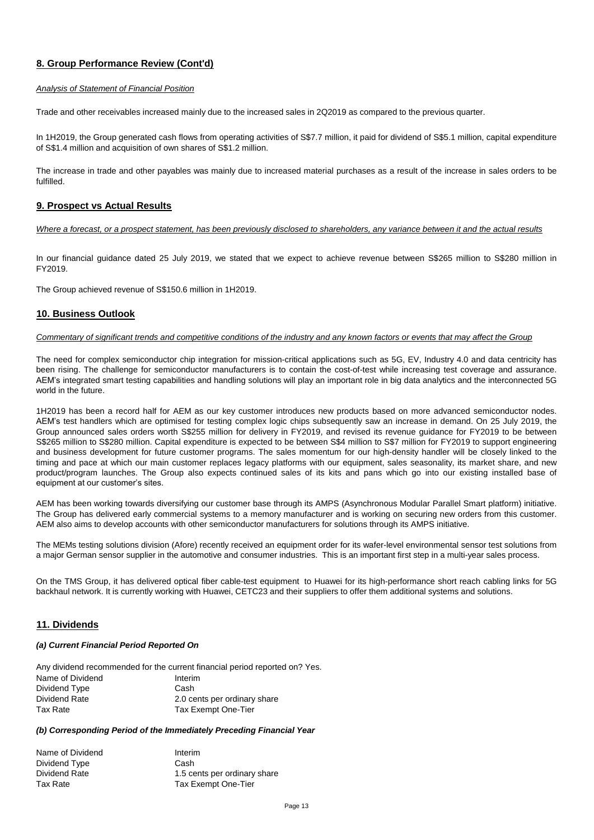### **8. Group Performance Review (Cont'd)**

#### *Analysis of Statement of Financial Position*

Trade and other receivables increased mainly due to the increased sales in 2Q2019 as compared to the previous quarter.

In 1H2019, the Group generated cash flows from operating activities of S\$7.7 million, it paid for dividend of S\$5.1 million, capital expenditure of S\$1.4 million and acquisition of own shares of S\$1.2 million.

The increase in trade and other payables was mainly due to increased material purchases as a result of the increase in sales orders to be fulfilled.

#### **9. Prospect vs Actual Results**

#### *Where a forecast, or a prospect statement, has been previously disclosed to shareholders, any variance between it and the actual results*

In our financial guidance dated 25 July 2019, we stated that we expect to achieve revenue between S\$265 million to S\$280 million in FY2019.

The Group achieved revenue of S\$150.6 million in 1H2019.

#### **10. Business Outlook**

#### *Commentary of significant trends and competitive conditions of the industry and any known factors or events that may affect the Group*

The need for complex semiconductor chip integration for mission-critical applications such as 5G, EV, Industry 4.0 and data centricity has been rising. The challenge for semiconductor manufacturers is to contain the cost-of-test while increasing test coverage and assurance. AEM's integrated smart testing capabilities and handling solutions will play an important role in big data analytics and the interconnected 5G world in the future.

1H2019 has been a record half for AEM as our key customer introduces new products based on more advanced semiconductor nodes. AEM's test handlers which are optimised for testing complex logic chips subsequently saw an increase in demand. On 25 July 2019, the Group announced sales orders worth S\$255 million for delivery in FY2019, and revised its revenue guidance for FY2019 to be between S\$265 million to S\$280 million. Capital expenditure is expected to be between S\$4 million to S\$7 million for FY2019 to support engineering and business development for future customer programs. The sales momentum for our high-density handler will be closely linked to the timing and pace at which our main customer replaces legacy platforms with our equipment, sales seasonality, its market share, and new product/program launches. The Group also expects continued sales of its kits and pans which go into our existing installed base of equipment at our customer's sites.

AEM has been working towards diversifying our customer base through its AMPS (Asynchronous Modular Parallel Smart platform) initiative. The Group has delivered early commercial systems to a memory manufacturer and is working on securing new orders from this customer. AEM also aims to develop accounts with other semiconductor manufacturers for solutions through its AMPS initiative.

The MEMs testing solutions division (Afore) recently received an equipment order for its wafer-level environmental sensor test solutions from a major German sensor supplier in the automotive and consumer industries. This is an important first step in a multi-year sales process.

On the TMS Group, it has delivered optical fiber cable-test equipment to Huawei for its high-performance short reach cabling links for 5G backhaul network. It is currently working with Huawei, CETC23 and their suppliers to offer them additional systems and solutions.

#### **11. Dividends**

#### *(a) Current Financial Period Reported On*

| Any dividend recommended for the current financial period reported on? Yes. |                              |  |  |  |
|-----------------------------------------------------------------------------|------------------------------|--|--|--|
| Name of Dividend                                                            | Interim                      |  |  |  |
| Dividend Type                                                               | Cash                         |  |  |  |
| Dividend Rate                                                               | 2.0 cents per ordinary share |  |  |  |
| Tax Rate                                                                    | Tax Exempt One-Tier          |  |  |  |

#### *(b) Corresponding Period of the Immediately Preceding Financial Year*

| Name of Dividend | Interim                      |
|------------------|------------------------------|
| Dividend Type    | Cash                         |
| Dividend Rate    | 1.5 cents per ordinary share |
| Tax Rate         | Tax Exempt One-Tier          |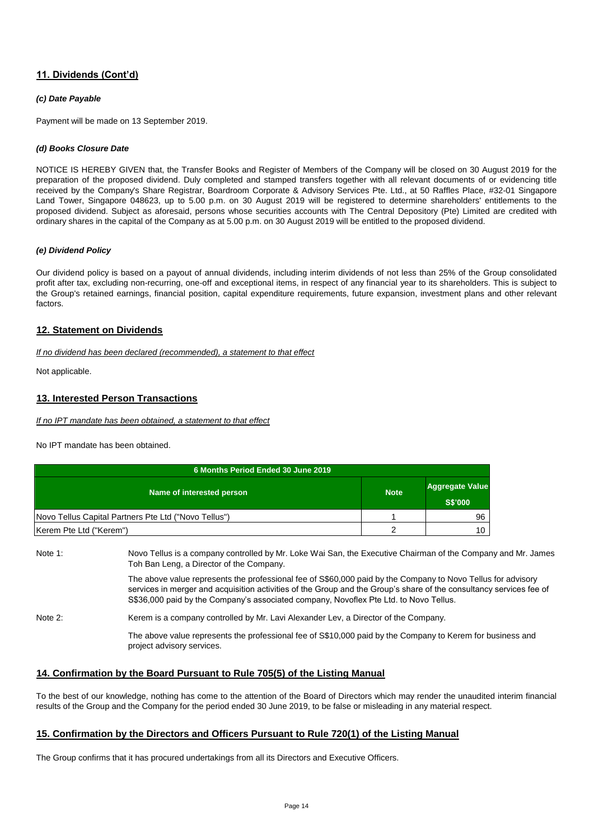### **11. Dividends (Cont'd)**

#### *(c) Date Payable*

Payment will be made on 13 September 2019.

#### *(d) Books Closure Date*

NOTICE IS HEREBY GIVEN that, the Transfer Books and Register of Members of the Company will be closed on 30 August 2019 for the preparation of the proposed dividend. Duly completed and stamped transfers together with all relevant documents of or evidencing title received by the Company's Share Registrar, Boardroom Corporate & Advisory Services Pte. Ltd., at 50 Raffles Place, #32-01 Singapore Land Tower, Singapore 048623, up to 5.00 p.m. on 30 August 2019 will be registered to determine shareholders' entitlements to the proposed dividend. Subject as aforesaid, persons whose securities accounts with The Central Depository (Pte) Limited are credited with ordinary shares in the capital of the Company as at 5.00 p.m. on 30 August 2019 will be entitled to the proposed dividend.

#### *(e) Dividend Policy*

Our dividend policy is based on a payout of annual dividends, including interim dividends of not less than 25% of the Group consolidated profit after tax, excluding non-recurring, one-off and exceptional items, in respect of any financial year to its shareholders. This is subject to the Group's retained earnings, financial position, capital expenditure requirements, future expansion, investment plans and other relevant factors.

#### **12. Statement on Dividends**

*If no dividend has been declared (recommended), a statement to that effect*

Not applicable.

#### **13. Interested Person Transactions**

*If no IPT mandate has been obtained, a statement to that effect*

No IPT mandate has been obtained.

| 6 Months Period Ended 30 June 2019                   |             |                                          |  |  |
|------------------------------------------------------|-------------|------------------------------------------|--|--|
| Name of interested person                            | <b>Note</b> | <b>Aggregate Value</b><br><b>S\$'000</b> |  |  |
| Novo Tellus Capital Partners Pte Ltd ("Novo Tellus") |             | 96                                       |  |  |
| Kerem Pte Ltd ("Kerem")                              |             | 10                                       |  |  |

| Note 1:    | Novo Tellus is a company controlled by Mr. Loke Wai San, the Executive Chairman of the Company and Mr. James<br>Toh Ban Leng, a Director of the Company.                                                                                                                                                                     |
|------------|------------------------------------------------------------------------------------------------------------------------------------------------------------------------------------------------------------------------------------------------------------------------------------------------------------------------------|
|            | The above value represents the professional fee of S\$60,000 paid by the Company to Novo Tellus for advisory<br>services in merger and acquisition activities of the Group and the Group's share of the consultancy services fee of<br>S\$36,000 paid by the Company's associated company, Novoflex Pte Ltd. to Novo Tellus. |
| Note $2$ : | Kerem is a company controlled by Mr. Lavi Alexander Lev, a Director of the Company.                                                                                                                                                                                                                                          |
|            | The above value represents the professional fee of S\$10,000 paid by the Company to Kerem for business and<br>project advisory services.                                                                                                                                                                                     |

#### **14. Confirmation by the Board Pursuant to Rule 705(5) of the Listing Manual**

To the best of our knowledge, nothing has come to the attention of the Board of Directors which may render the unaudited interim financial results of the Group and the Company for the period ended 30 June 2019, to be false or misleading in any material respect.

#### **15. Confirmation by the Directors and Officers Pursuant to Rule 720(1) of the Listing Manual**

The Group confirms that it has procured undertakings from all its Directors and Executive Officers.